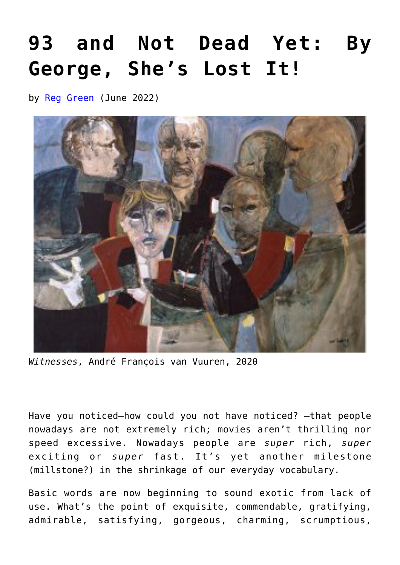## **[93 and Not Dead Yet: By](https://www.newenglishreview.org/articles/93-and-not-dead-yet-by-george-shes-lost-it/) [George, She's Lost It!](https://www.newenglishreview.org/articles/93-and-not-dead-yet-by-george-shes-lost-it/)**

by [Reg Green](https://www.newenglishreview.org/authors/reg-green/) (June 2022)



*Witnesses*, André François van Vuuren, 2020

Have you noticed—how could you not have noticed? —that people nowadays are not extremely rich; movies aren't thrilling nor speed excessive. Nowadays people are *super* rich, *super* exciting or *super* fast. It's yet another milestone (millstone?) in the shrinkage of our everyday vocabulary.

Basic words are now beginning to sound exotic from lack of use. What's the point of exquisite, commendable, gratifying, admirable, satisfying, gorgeous, charming, scrumptious,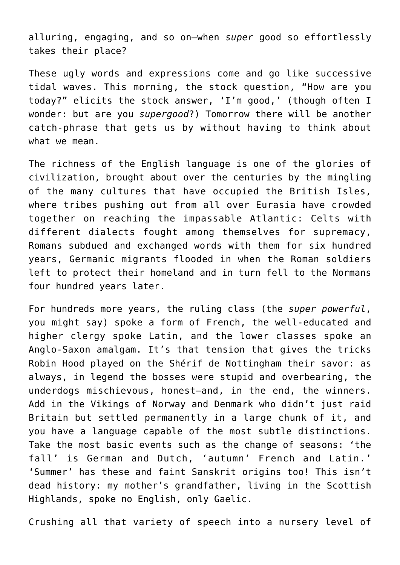alluring, engaging, and so on—when *super* good so effortlessly takes their place?

These ugly words and expressions come and go like successive tidal waves. This morning, the stock question, "How are you today?" elicits the stock answer, 'I'm good,' (though often I wonder: but are you *supergood*?) Tomorrow there will be another catch-phrase that gets us by without having to think about what we mean.

The richness of the English language is one of the glories of civilization, brought about over the centuries by the mingling of the many cultures that have occupied the British Isles, where tribes pushing out from all over Eurasia have crowded together on reaching the impassable Atlantic: Celts with different dialects fought among themselves for supremacy, Romans subdued and exchanged words with them for six hundred years, Germanic migrants flooded in when the Roman soldiers left to protect their homeland and in turn fell to the Normans four hundred years later.

For hundreds more years, the ruling class (the *super powerful*, you might say) spoke a form of French, the well-educated and higher clergy spoke Latin, and the lower classes spoke an Anglo-Saxon amalgam. It's that tension that gives the tricks Robin Hood played on the Shérif de Nottingham their savor: as always, in legend the bosses were stupid and overbearing, the underdogs mischievous, honest—and, in the end, the winners. Add in the Vikings of Norway and Denmark who didn't just raid Britain but settled permanently in a large chunk of it, and you have a language capable of the most subtle distinctions. Take the most basic events such as the change of seasons: 'the fall' is German and Dutch, 'autumn' French and Latin.' 'Summer' has these and faint Sanskrit origins too! This isn't dead history: my mother's grandfather, living in the Scottish Highlands, spoke no English, only Gaelic.

Crushing all that variety of speech into a nursery level of